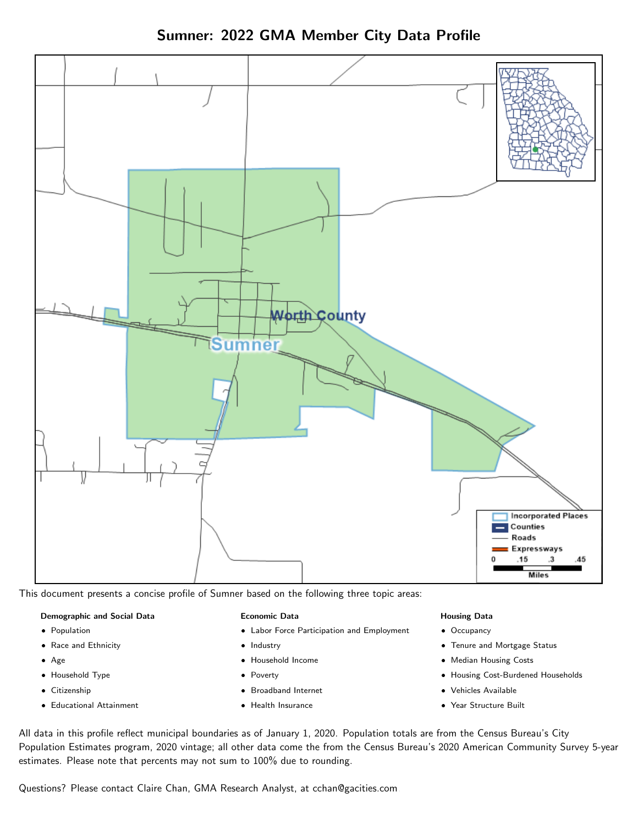Sumner: 2022 GMA Member City Data Profile



This document presents a concise profile of Sumner based on the following three topic areas:

#### Demographic and Social Data

- **•** Population
- Race and Ethnicity
- Age
- Household Type
- **Citizenship**
- Educational Attainment

#### Economic Data

- Labor Force Participation and Employment
- Industry
- Household Income
- Poverty
- Broadband Internet
- Health Insurance

#### Housing Data

- Occupancy
- Tenure and Mortgage Status
- Median Housing Costs
- Housing Cost-Burdened Households
- Vehicles Available
- Year Structure Built

All data in this profile reflect municipal boundaries as of January 1, 2020. Population totals are from the Census Bureau's City Population Estimates program, 2020 vintage; all other data come the from the Census Bureau's 2020 American Community Survey 5-year estimates. Please note that percents may not sum to 100% due to rounding.

Questions? Please contact Claire Chan, GMA Research Analyst, at [cchan@gacities.com.](mailto:cchan@gacities.com)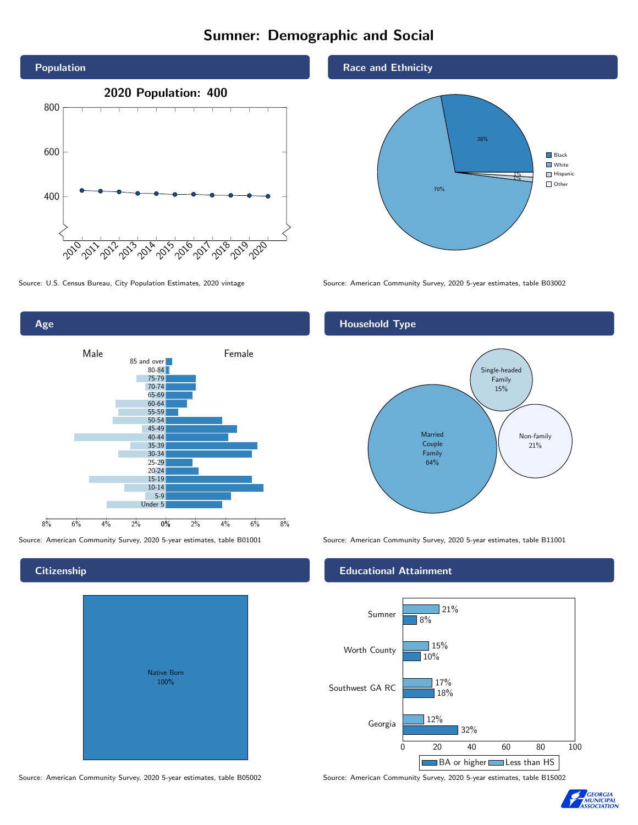# Sumner: Demographic and Social





# **Citizenship**



Race and Ethnicity



Source: U.S. Census Bureau, City Population Estimates, 2020 vintage Source: American Community Survey, 2020 5-year estimates, table B03002

#### Household Type



Source: American Community Survey, 2020 5-year estimates, table B01001 Source: American Community Survey, 2020 5-year estimates, table B11001

#### Educational Attainment



Source: American Community Survey, 2020 5-year estimates, table B05002 Source: American Community Survey, 2020 5-year estimates, table B15002

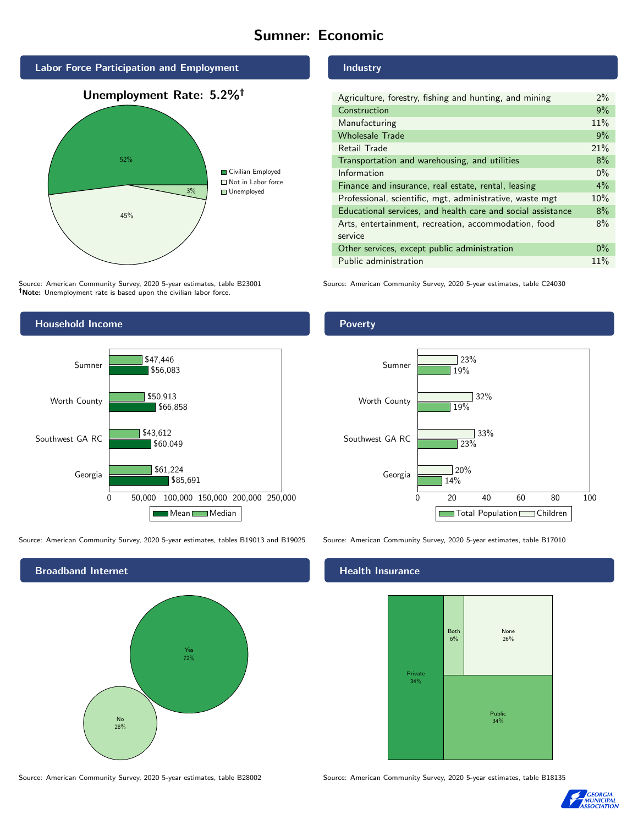# Sumner: Economic



Source: American Community Survey, 2020 5-year estimates, table B23001 Note: Unemployment rate is based upon the civilian labor force.

#### Industry

Poverty

| Agriculture, forestry, fishing and hunting, and mining      | $2\%$ |
|-------------------------------------------------------------|-------|
| Construction                                                | 9%    |
| Manufacturing                                               | 11%   |
| <b>Wholesale Trade</b>                                      | 9%    |
| Retail Trade                                                | 21%   |
| Transportation and warehousing, and utilities               | 8%    |
| Information                                                 | $0\%$ |
| Finance and insurance, real estate, rental, leasing         | $4\%$ |
| Professional, scientific, mgt, administrative, waste mgt    | 10%   |
| Educational services, and health care and social assistance | 8%    |
| Arts, entertainment, recreation, accommodation, food        | 8%    |
| service                                                     |       |
| Other services, except public administration                | $0\%$ |
| Public administration                                       | 11%   |

Source: American Community Survey, 2020 5-year estimates, table C24030



Source: American Community Survey, 2020 5-year estimates, tables B19013 and B19025 Source: American Community Survey, 2020 5-year estimates, table B17010



14%

 $720%$ 

23%

33%

32%

19%

19%

 $23%$ 

#### Health Insurance

Georgia

Southwest GA RC

Worth County

Sumner



0 20 40 60 80 100

Total Population Children

Source: American Community Survey, 2020 5-year estimates, table B28002 Source: American Community Survey, 2020 5-year estimates, table B18135